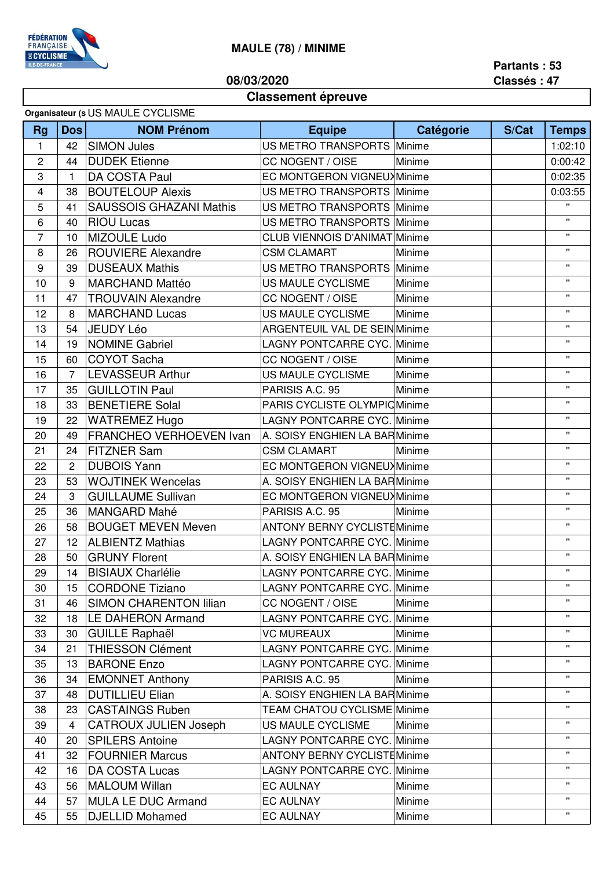

## **MAULE (78) / MINIME**

**08/03/2020**

**Partants : 53 Classés : 47**

## **Classement épreuve**

| Organisateur (s US MAULE CYCLISME |  |
|-----------------------------------|--|
|                                   |  |

| <b>Rg</b>      | Dos              | sigamoatoar (o OO IVI) tOLL O I OLIONIL<br><b>NOM Prénom</b> | <b>Equipe</b>                                            | Catégorie | S/Cat   | <b>Temps</b>       |
|----------------|------------------|--------------------------------------------------------------|----------------------------------------------------------|-----------|---------|--------------------|
| 1              | 42               | <b>SIMON Jules</b>                                           | US METRO TRANSPORTS Minime                               |           |         | 1:02:10            |
| $\overline{c}$ | 44               | <b>DUDEK Etienne</b>                                         | CC NOGENT / OISE                                         |           | 0:00:42 |                    |
| 3              | 1                | DA COSTA Paul                                                | EC MONTGERON VIGNEUX Minime                              | Minime    |         | 0:02:35            |
| 4              | 38               | <b>BOUTELOUP Alexis</b>                                      |                                                          |           |         | 0:03:55            |
| 5              | 41               | <b>SAUSSOIS GHAZANI Mathis</b>                               | US METRO TRANSPORTS Minime<br>US METRO TRANSPORTS Minime |           |         | $\mathbf{H}$       |
| 6              | 40               | <b>RIOU Lucas</b>                                            | US METRO TRANSPORTS Minime                               |           |         | $\mathbf{u}$       |
| $\overline{7}$ | 10               | MIZOULE Ludo                                                 | <b>CLUB VIENNOIS D'ANIMAT Minime</b>                     |           |         | $\mathbf{H}$       |
| 8              | 26               | <b>ROUVIERE Alexandre</b>                                    | <b>CSM CLAMART</b>                                       | Minime    |         | $\mathbf{H}$       |
| 9              | 39               | <b>DUSEAUX Mathis</b>                                        | US METRO TRANSPORTS Minime                               |           |         | $\mathbf{H}$       |
| 10             | 9                | <b>MARCHAND Mattéo</b>                                       | US MAULE CYCLISME                                        | Minime    |         | $\mathbf{H}$       |
| 11             | 47               | <b>TROUVAIN Alexandre</b>                                    | CC NOGENT / OISE                                         | Minime    |         | $\mathbf{H}$       |
| 12             | 8                | <b>MARCHAND Lucas</b>                                        | US MAULE CYCLISME                                        | Minime    |         | $\mathbf{H}$       |
| 13             | 54               | <b>JEUDY Léo</b>                                             | <b>ARGENTEUIL VAL DE SEIN Minime</b>                     |           |         | $\mathbf{H}$       |
| 14             | 19               | <b>NOMINE Gabriel</b>                                        | <b>LAGNY PONTCARRE CYC. Minime</b>                       |           |         | $\mathbf{H}$       |
| 15             | 60               | <b>COYOT Sacha</b>                                           | CC NOGENT / OISE                                         | Minime    |         | $\mathbf{H}$       |
|                | $\overline{7}$   | <b>LEVASSEUR Arthur</b>                                      |                                                          |           |         | $\mathbf{H}$       |
| 16             |                  |                                                              | US MAULE CYCLISME                                        | Minime    |         | $\mathbf{H}$       |
| 17             | 35               | <b>GUILLOTIN Paul</b>                                        | PARISIS A.C. 95                                          | Minime    |         | $\mathbf{H}$       |
| 18             | 33               | <b>BENETIERE Solal</b>                                       | PARIS CYCLISTE OLYMPIC Minime                            |           |         | $\mathbf{H}$       |
| 19             | 22               | <b>WATREMEZ Hugo</b>                                         | <b>LAGNY PONTCARRE CYC. Minime</b>                       |           |         | $\mathbf{H}$       |
| 20             | 49               | FRANCHEO VERHOEVEN Ivan                                      | A. SOISY ENGHIEN LA BARMinime                            |           |         | $\mathbf{H}$       |
| 21             | 24               | <b>FITZNER Sam</b>                                           | <b>CSM CLAMART</b>                                       | Minime    |         |                    |
| 22             | $\mathbf{2}$     | <b>DUBOIS Yann</b>                                           | EC MONTGERON VIGNEUX Minime                              |           |         | $\mathbf{H}$       |
| 23             | 53               | <b>WOJTINEK Wencelas</b>                                     | A. SOISY ENGHIEN LA BARMinime                            |           |         | $\mathbf{H}$       |
| 24             | $\boldsymbol{3}$ | <b>GUILLAUME Sullivan</b>                                    | EC MONTGERON VIGNEUX Minime                              |           |         | $\mathbf{H}$       |
| 25             | 36               | <b>MANGARD Mahé</b>                                          | PARISIS A.C. 95                                          | Minime    |         | $\mathbf{H}$       |
| 26             | 58               | <b>BOUGET MEVEN Meven</b>                                    | <b>ANTONY BERNY CYCLISTE Minime</b>                      |           |         | $\mathbf{H}$       |
| 27             | 12               | <b>ALBIENTZ Mathias</b>                                      | <b>LAGNY PONTCARRE CYC. Minime</b>                       |           |         | $\mathbf{H}$       |
| 28             | 50               | <b>GRUNY Florent</b>                                         | A. SOISY ENGHIEN LA BARMinime                            |           |         | $\mathbf{H}$       |
| 29             | 14               | <b>BISIAUX Charlélie</b>                                     | <b>LAGNY PONTCARRE CYC. Minime</b>                       |           |         | $\mathbf{H}$       |
| 30             | 15               | <b>CORDONE Tiziano</b>                                       | LAGNY PONTCARRE CYC. Minime                              |           |         | π.                 |
| 31             | 46               | <b>SIMON CHARENTON lilian</b>                                | CC NOGENT / OISE                                         | Minime    |         | π.                 |
| 32             | 18               | <b>LE DAHERON Armand</b>                                     | LAGNY PONTCARRE CYC. Minime                              |           |         | $\pmb{\mathsf{H}}$ |
| 33             | 30               | <b>GUILLE Raphaël</b>                                        | <b>VC MUREAUX</b>                                        | Minime    |         | $\mathbf{H}$       |
| 34             | 21               | <b>THIESSON Clément</b>                                      | LAGNY PONTCARRE CYC. Minime                              |           |         | $\mathbf{H}$       |
| 35             | 13               | <b>BARONE Enzo</b>                                           | LAGNY PONTCARRE CYC. Minime                              |           |         | $\mathbf{H}$       |
| 36             | 34               | <b>EMONNET Anthony</b>                                       | PARISIS A.C. 95                                          | Minime    |         | $\mathbf{H}$       |
| 37             | 48               | <b>DUTILLIEU Elian</b>                                       | A. SOISY ENGHIEN LA BARMinime                            |           |         | $\mathbf{H}$       |
| 38             | 23               | <b>CASTAINGS Ruben</b>                                       | TEAM CHATOU CYCLISME Minime                              |           |         | $\mathbf{H}$       |
| 39             | $\overline{4}$   | <b>CATROUX JULIEN Joseph</b>                                 | US MAULE CYCLISME                                        | Minime    |         | $\mathbf{H}$       |
| 40             | 20               | <b>SPILERS Antoine</b>                                       | LAGNY PONTCARRE CYC. Minime                              |           |         | $\mathbf{H}$       |
| 41             | 32               | <b>FOURNIER Marcus</b>                                       | <b>ANTONY BERNY CYCLISTEMinime</b>                       |           |         | $\mathbf{H}$       |
| 42             | 16               | <b>DA COSTA Lucas</b>                                        | LAGNY PONTCARRE CYC. Minime                              |           |         | Ħ.                 |
| 43             | 56               | <b>MALOUM Willan</b>                                         | <b>EC AULNAY</b>                                         | Minime    |         | $\mathbf{H}$       |
| 44             | 57               | <b>MULA LE DUC Armand</b>                                    | <b>EC AULNAY</b>                                         | Minime    |         | $\mathbf{H}$       |
| 45             | 55               | <b>DJELLID Mohamed</b>                                       | <b>EC AULNAY</b>                                         | Minime    |         | $\mathbf{H}$       |
|                |                  |                                                              |                                                          |           |         |                    |